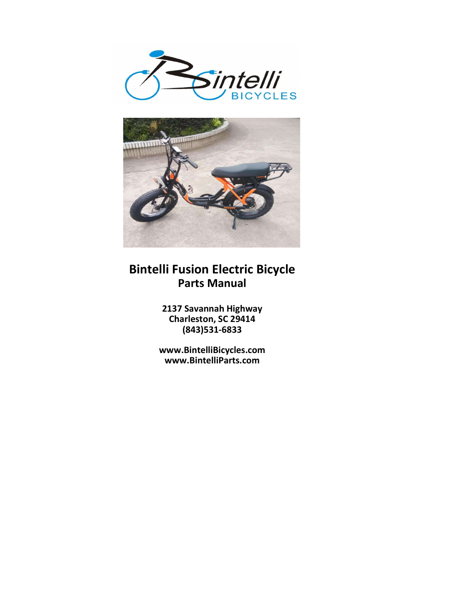



## Bintelli Fusion Electric Bicycle Parts Manual

2137 Savannah Highway Charleston, SC 29414 (843)531-6833

www.BintelliBicycles.com www.BintelliParts.com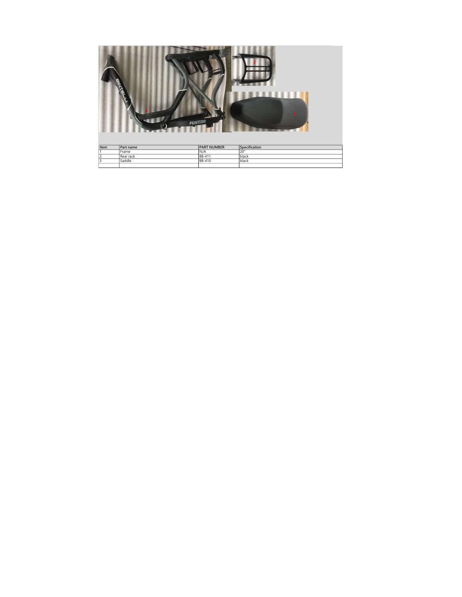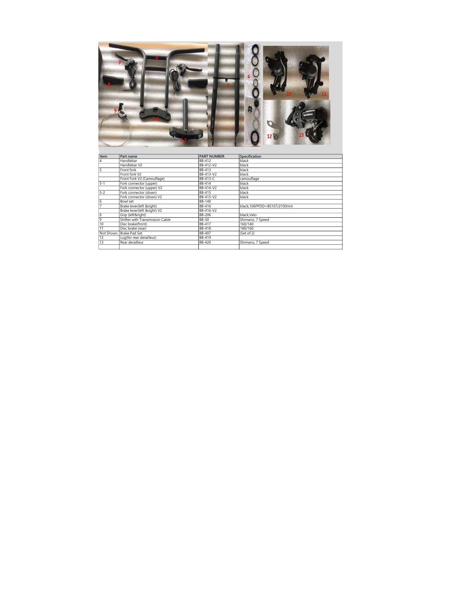

12 Bartham Bart and Street and Health Bart and Bart and Bart and Bart and Bart and Bart and Bart and Bart and Bart and Bart and Bart and Bart and Bart and Bart and Bart and Bart and Bart and Bart and Bart and Bart and Bart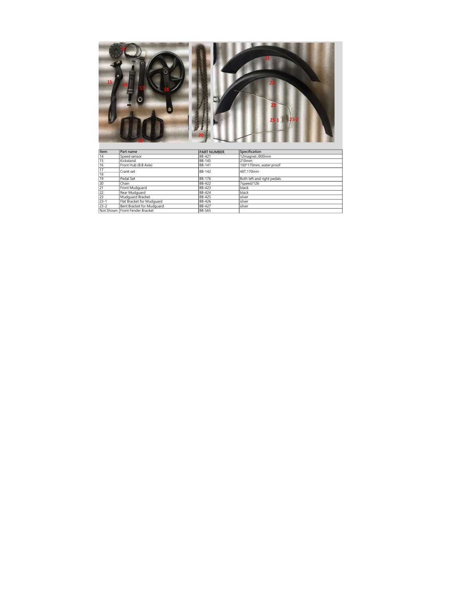| 15                                                                                                                              |                                |                    | $23 - 1$                   |
|---------------------------------------------------------------------------------------------------------------------------------|--------------------------------|--------------------|----------------------------|
| Item                                                                                                                            | Part name                      | <b>PART NUMBER</b> | Specification              |
|                                                                                                                                 | Speed sensor                   | <b>BB-421</b>      | 12magnet /800mm            |
|                                                                                                                                 | Kickstand                      | <b>BB-145</b>      | 210mm                      |
|                                                                                                                                 | Front Hub (B.B Axle)           | <b>BB-141</b>      | 100*170mm, water proof     |
|                                                                                                                                 |                                |                    |                            |
|                                                                                                                                 | Crank set                      | <b>BB-142</b>      | 48T,170mm                  |
|                                                                                                                                 | Pedal Set                      | <b>BB-176</b>      | Both left and right pedals |
|                                                                                                                                 | Chain                          | BB-422             | 7speed/126                 |
|                                                                                                                                 | Front Mudquard                 | BB-423             | black                      |
|                                                                                                                                 | Rear Mudguard                  | <b>BB-424</b>      | black                      |
| $\frac{14}{15}$ $\frac{16}{17}$ $\frac{17}{18}$ $\frac{18}{18}$ $\frac{19}{20}$ $\frac{21}{22}$ $\frac{22}{23}$ $\frac{23}{23}$ | Mudquard Bracket               | <b>BB-425</b>      | silver                     |
|                                                                                                                                 | Flat Bracket for Mudquard      | <b>BB-426</b>      | silver                     |
| $23 - 2$                                                                                                                        | Bent Bracket for Mudquard      | <b>BB-427</b>      | silver                     |
|                                                                                                                                 | Not Shown Front Fender Bracket | <b>BB-565</b>      |                            |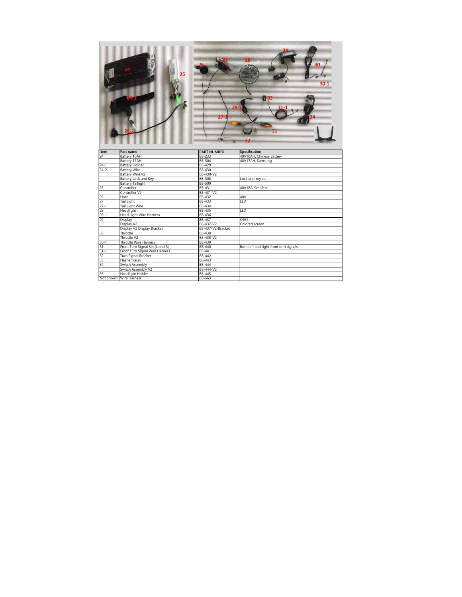

| Item            | Part name                       | <b>IPART NUMBER</b> | <b>Specification</b>                   |
|-----------------|---------------------------------|---------------------|----------------------------------------|
| 24              | Battery 10AH                    | BB-233              | 48V10AH, Chinese Battery               |
|                 | Battery 17AH                    | BB-504              | 48V17AH, Samsung                       |
| $24 - 1$        | Battery Holder                  | BB-429              |                                        |
| $24 - 2$        | <b>Battery Wire</b>             | <b>BB-430</b>       |                                        |
|                 | Battery Wire V2                 | BB-430-V2           |                                        |
|                 | Battery Lock and Key            | <b>BB-508</b>       | Lock and key set                       |
|                 | <b>Battery Taillight</b>        | BB-509              |                                        |
| $\overline{25}$ | Controller                      | BB-431              | 48V18A, 9mofest                        |
|                 | Controller V2                   | BB-431-V2           |                                        |
| 26              | Horn                            | BB-432              | 48V                                    |
| 27              | <b>Tail Light</b>               | BB-433              | LED                                    |
| $27 - 1$        | Tail Light Wire                 | BB-434              |                                        |
| 28              | Headlight                       | BB-435              | I FD                                   |
| $28 - 1$        | Head Light Wire Harness         | BB-436              |                                        |
| 29              | Display                         | BB-437              | C961                                   |
|                 | Display V2                      | BB-437-V2           | Colored screen                         |
|                 | Display V2 Display Bracket      | BB-437-V2-Bracket   |                                        |
| 30              | Throttle                        | BB-438              |                                        |
|                 | Throttle V2                     | BB-438-V2           |                                        |
| $30 - 1$        | Throttle Wire Harness           | BB-439              |                                        |
| 31              | Front Turn Signal Set (L and R) | BB-440              | Both left and right front turn signals |
| $31 - 1$        | Front Turn Signal Wire Harness  | <b>BB-441</b>       |                                        |
| 32              | Turn Signal Bracket             | BB-442              |                                        |
| $\overline{33}$ | Flasher Relay                   | BB-443              |                                        |
| 34              | Switch Assembly                 | <b>BB-444</b>       |                                        |
|                 | Switch Assembly V2              | BB-444-V2           |                                        |
| 35              | Headlight Holder                | <b>BB-445</b>       |                                        |
|                 | Not Shown Wire Harness          | <b>BB-563</b>       |                                        |
|                 |                                 |                     |                                        |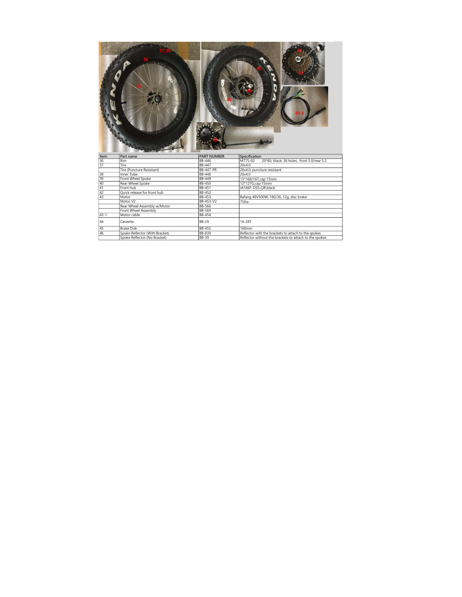| Item     | Part name                      | <b>PART NUMBER</b> | Specification                                           |
|----------|--------------------------------|--------------------|---------------------------------------------------------|
| 36       | Rim                            | <b>BB-446</b>      | 20*80, black, 36 holes, front 5.0/rear 5.2<br>MT75-02   |
| 37       | Tire                           | <b>BB-447</b>      | 20x4.0                                                  |
|          | Tire (Puncture Resistant)      | <b>BB-447-PR</b>   | 20x4.0, puncture resistant                              |
| 38       | <b>Inner Tube</b>              | <b>BB-448</b>      | 20x4.0                                                  |
| 39       | Front Wheel Spoke              | <b>BB-449</b>      | 13*168/167,cap 15mm                                     |
| 40       | Rear Wheel Spoke               | BB-450             | 12*127G,cap 15mm                                        |
| 41       | Front hub                      | <b>BB-451</b>      | JA166F-DSS-QR,black                                     |
| 42       | Quick release for front hub    | <b>BB-452</b>      |                                                         |
| 43       | Motor                          | <b>BB-453</b>      | Bafang 48V500W, 180/36, 12g, disc brake                 |
|          | Motor V2                       | BB-453-V2          | 750 <sub>w</sub>                                        |
|          | Rear Wheel Assembly w/Motor    | <b>BB-566</b>      |                                                         |
|          | Front Wheel Assembly           | <b>BB-569</b>      |                                                         |
| $43 - 1$ | Motor cable                    | <b>BB-454</b>      |                                                         |
| 44       | Cassette                       | <b>BB-29</b>       | 14-28T                                                  |
| 45       | <b>Brake Disk</b>              | <b>BB-455</b>      | 160mm                                                   |
| 46       | Spoke Reflector (With Bracket) | <b>BB-839</b>      | Reflector with the brackets to attach to the spokes     |
|          |                                |                    |                                                         |
|          | Spoke Reflector (No Bracket)   | <b>BB-39</b>       | Reflector without the brackets to attach to the spokes. |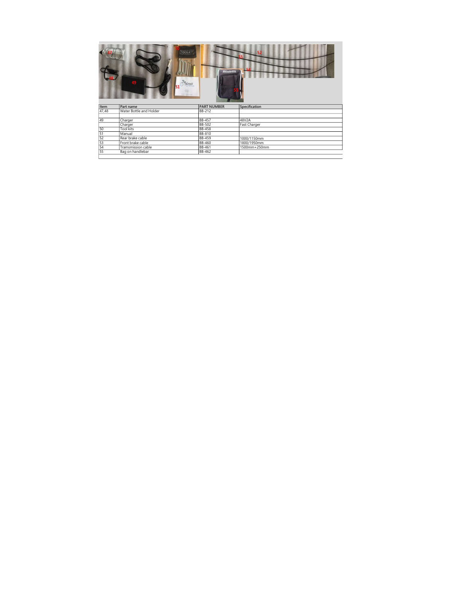|       | TOOLKIT                 | <b>Bintelli</b>    | 52            |
|-------|-------------------------|--------------------|---------------|
| Item  | Part name               | <b>PART NUMBER</b> | Specification |
| 47,48 | Water Bottle and Holder | <b>BB-212</b>      |               |
|       |                         |                    |               |
| 49    | Charger                 | <b>BB-457</b>      | 48V2A         |
|       | Charger                 | <b>BB-502</b>      | Fast Charger  |
| 50    | <b>Tool kits</b>        | <b>BB-458</b>      |               |
| 51    | Manual                  | <b>BB-810</b>      |               |
| 52    | Rear brake cable        | <b>BB-459</b>      | 1000/1150mm   |
| 53    | Front brake cable       | <b>BB-460</b>      | 1800/1950mm   |
| 54    |                         | <b>BB-461</b>      | 1500mm+250mm  |
|       | Tramsmission cable      |                    |               |
| 55    | Bag on handlebar        | BB-462             |               |